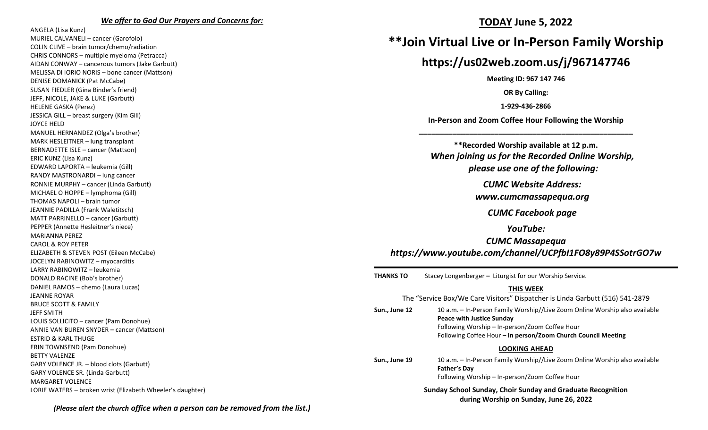#### *We offer to God Our Prayers and Concerns for:*

ANGELA (Lisa Kunz) MURIEL CALVANELI – cancer (Garofolo) COLIN CLIVE – brain tumor/chemo/radiation CHRIS CONNORS – multiple myeloma (Petracca) AIDAN CONWAY – cancerous tumors (Jake Garbutt) MELISSA DI IORIO NORIS – bone cancer (Mattson) DENISE DOMANICK (Pat McCabe) SUSAN FIEDLER (Gina Binder's friend) JEFF, NICOLE, JAKE & LUKE (Garbutt) HELENE GASKA (Perez) JESSICA GILL – breast surgery (Kim Gill) JOYCE HELD MANUEL HERNANDEZ (Olga's brother) MARK HESLEITNER – lung transplant BERNADETTE ISLE – cancer (Mattson) ERIC KUNZ (Lisa Kunz) EDWARD LAPORTA – leukemia (Gill) RANDY MASTRONARDI – lung cancer RONNIE MURPHY – cancer (Linda Garbutt) MICHAEL O HOPPE – lymphoma (Gill) THOMAS NAPOLI – brain tumor JEANNIE PADILLA (Frank Waletitsch) MATT PARRINELLO – cancer (Garbutt) PEPPER (Annette Hesleitner's niece) MARIANNA PEREZ CAROL & ROY PETER ELIZABETH & STEVEN POST (Eileen McCabe) JOCELYN RABINOWITZ – myocarditis LARRY RABINOWITZ – leukemia DONALD RACINE (Bob's brother) DANIEL RAMOS – chemo (Laura Lucas) JEANNE ROYAR BRUCE SCOTT & FAMILY JEFF SMITH LOUIS SOLLICITO – cancer (Pam Donohue) ANNIE VAN BUREN SNYDER – cancer (Mattson) ESTRID & KARL THUGE ERIN TOWNSEND (Pam Donohue) BETTY VALENZE GARY VOLENCE JR. – blood clots (Garbutt) GARY VOLENCE SR. (Linda Garbutt) MARGARET VOLENCE LORIE WATERS – broken wrist (Elizabeth Wheeler's daughter)

## **TODAY June 5, 2022**

# **\*\*Join Virtual Live or In-Person Family Worship**

## **https://us02web.zoom.us/j/967147746**

**Meeting ID: 967 147 746**

**OR By Calling:**

**1-929-436-2866**

**In-Person and Zoom Coffee Hour Following the Worship \_\_\_\_\_\_\_\_\_\_\_\_\_\_\_\_\_\_\_\_\_\_\_\_\_\_\_\_\_\_\_\_\_\_\_\_\_\_\_\_\_\_\_\_\_\_\_\_\_\_\_**

**\*\*Recorded Worship available at 12 p.m.** *When joining us for the Recorded Online Worship, please use one of the following:*

*CUMC Website Address:*

*[www.cumcmassapequa.org](about:blank)*

*CUMC Facebook page*

*YouTube:*

*CUMC Massapequa [https://www.youtube.com/channel/UCPfbI1FO8y89P4SSotrGO7w](about:blank)*

**THANKS TO** Stacey Longenberger **–** Liturgist for our Worship Service.

#### **THIS WEEK**

|               | The "Service Box/We Care Visitors" Dispatcher is Linda Garbutt (516) 541-2879                                                                                                                                                      |
|---------------|------------------------------------------------------------------------------------------------------------------------------------------------------------------------------------------------------------------------------------|
| Sun., June 12 | 10 a.m. – In-Person Family Worship//Live Zoom Online Worship also available<br><b>Peace with Justice Sunday</b><br>Following Worship - In-person/Zoom Coffee Hour<br>Following Coffee Hour - In person/Zoom Church Council Meeting |
|               | <b>LOOKING AHEAD</b>                                                                                                                                                                                                               |
| Sun., June 19 | 10 a.m. – In-Person Family Worship//Live Zoom Online Worship also available<br><b>Father's Day</b><br>Following Worship - In-person/Zoom Coffee Hour                                                                               |
|               | <b>Sunday School Sunday, Choir Sunday and Graduate Recognition</b>                                                                                                                                                                 |

**during Worship on Sunday, June 26, 2022**

*(Please alert the church office when a person can be removed from the list.)*